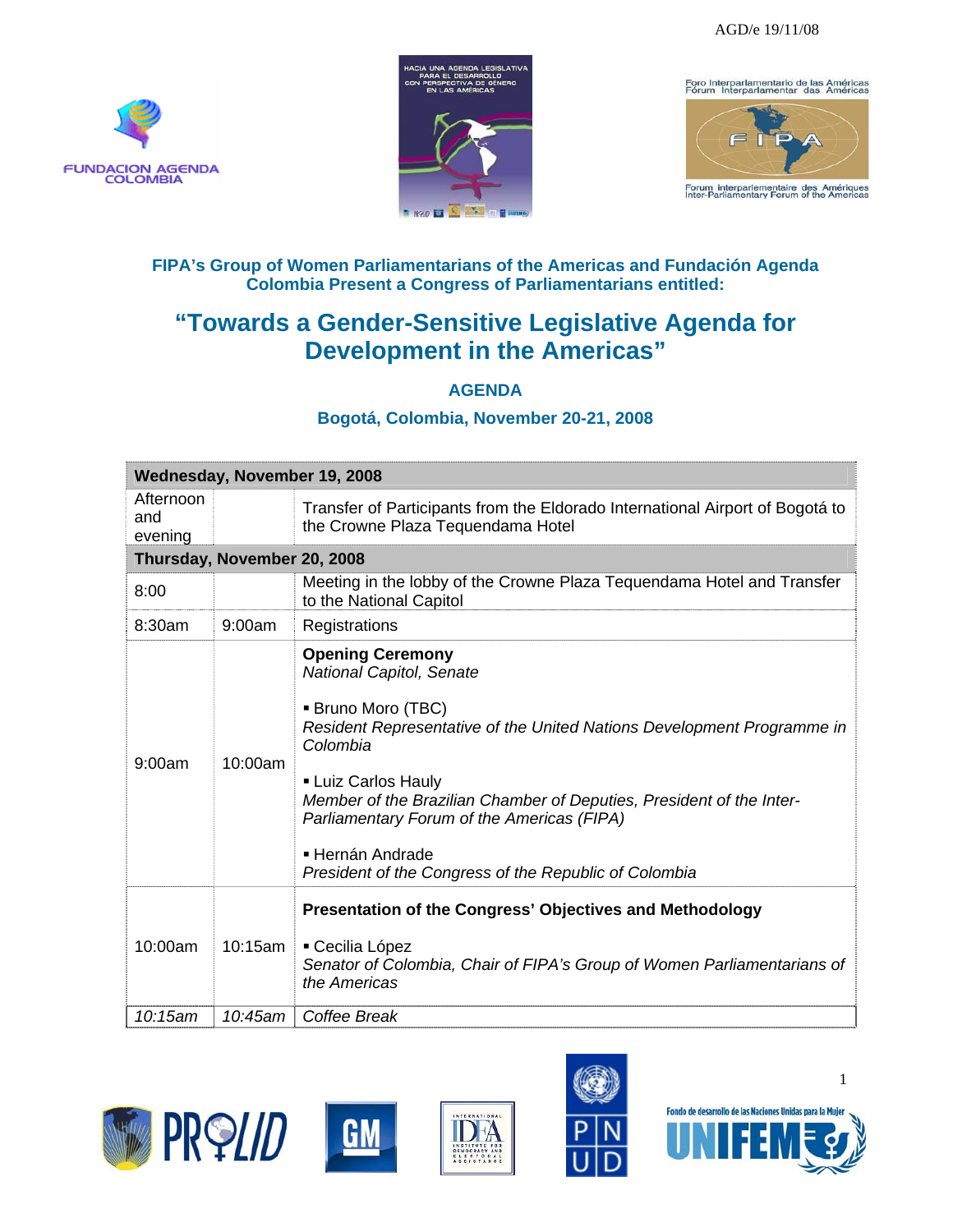





## **FIPA's Group of Women Parliamentarians of the Americas and Fundación Agenda Colombia Present a Congress of Parliamentarians entitled:**

## **"Towards a Gender-Sensitive Legislative Agenda for Development in the Americas"**

## **AGENDA**

## **Bogotá, Colombia, November 20-21, 2008**

| Wednesday, November 19, 2008 |         |                                                                                                                                                                                                                                                                                                                                                                                                  |  |  |  |
|------------------------------|---------|--------------------------------------------------------------------------------------------------------------------------------------------------------------------------------------------------------------------------------------------------------------------------------------------------------------------------------------------------------------------------------------------------|--|--|--|
| Afternoon<br>and<br>evening  |         | Transfer of Participants from the Eldorado International Airport of Bogotá to<br>the Crowne Plaza Tequendama Hotel                                                                                                                                                                                                                                                                               |  |  |  |
| Thursday, November 20, 2008  |         |                                                                                                                                                                                                                                                                                                                                                                                                  |  |  |  |
| 8:00                         |         | Meeting in the lobby of the Crowne Plaza Tequendama Hotel and Transfer<br>to the National Capitol                                                                                                                                                                                                                                                                                                |  |  |  |
| 8:30am                       | 9:00am  | Registrations                                                                                                                                                                                                                                                                                                                                                                                    |  |  |  |
| 9:00am                       | 10:00am | <b>Opening Ceremony</b><br>National Capitol, Senate<br>■ Bruno Moro (TBC)<br>Resident Representative of the United Nations Development Programme in<br>Colombia<br><b>- Luiz Carlos Hauly</b><br>Member of the Brazilian Chamber of Deputies, President of the Inter-<br>Parliamentary Forum of the Americas (FIPA)<br>■ Hernán Andrade<br>President of the Congress of the Republic of Colombia |  |  |  |
| 10:00am                      | 10:15am | Presentation of the Congress' Objectives and Methodology<br>• Cecilia López<br>Senator of Colombia, Chair of FIPA's Group of Women Parliamentarians of<br>the Americas                                                                                                                                                                                                                           |  |  |  |
| 10:15am                      | 10:45am | Coffee Break                                                                                                                                                                                                                                                                                                                                                                                     |  |  |  |









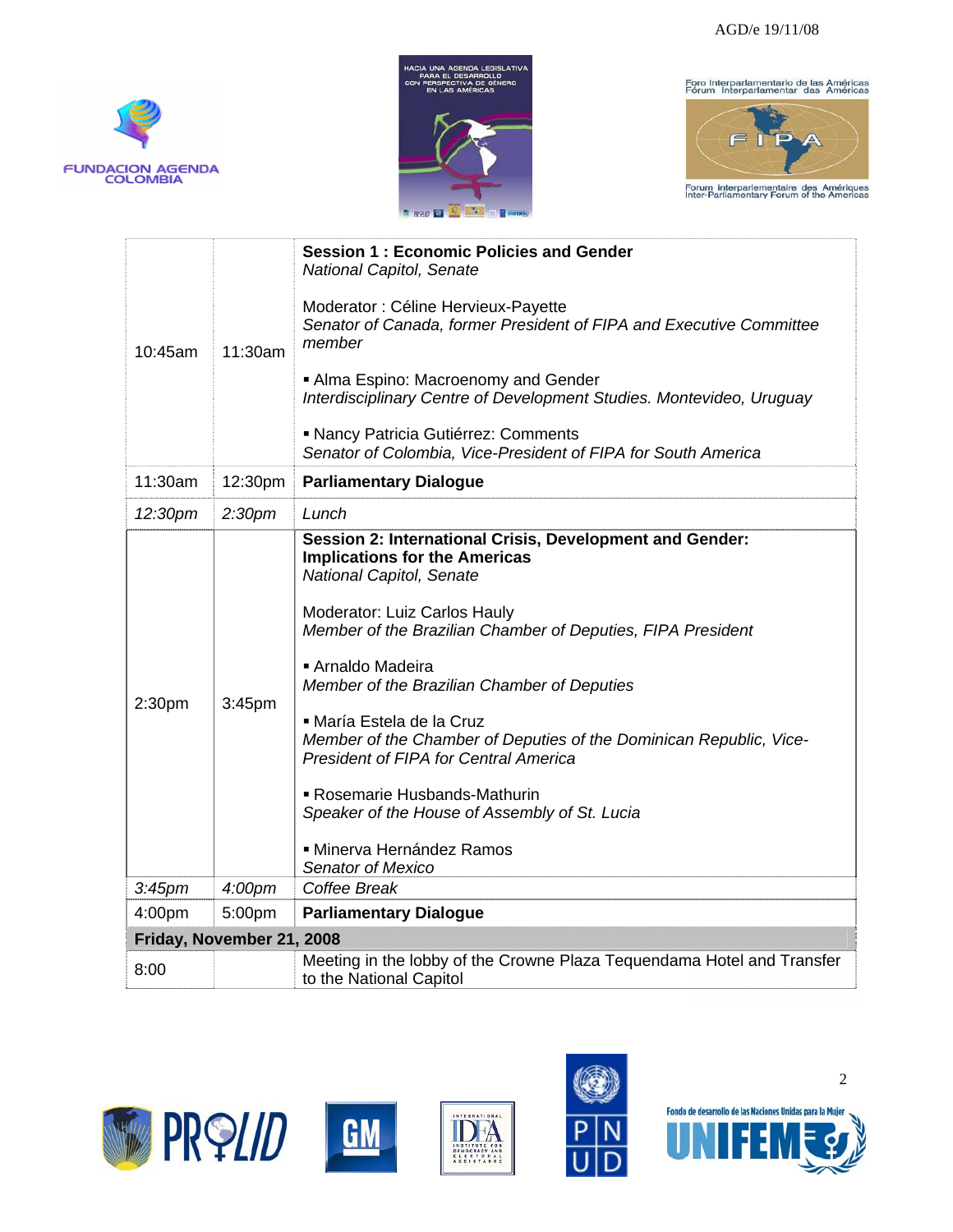







| 10:45am                   | 11:30am            | <b>Session 1: Economic Policies and Gender</b><br>National Capitol, Senate<br>Moderator : Céline Hervieux-Payette<br>Senator of Canada, former President of FIPA and Executive Committee<br>member<br>Alma Espino: Macroenomy and Gender<br>Interdisciplinary Centre of Development Studies. Montevideo, Uruguay<br>• Nancy Patricia Gutiérrez: Comments                                                                                                                                                                                                                           |  |  |
|---------------------------|--------------------|------------------------------------------------------------------------------------------------------------------------------------------------------------------------------------------------------------------------------------------------------------------------------------------------------------------------------------------------------------------------------------------------------------------------------------------------------------------------------------------------------------------------------------------------------------------------------------|--|--|
|                           |                    | Senator of Colombia, Vice-President of FIPA for South America                                                                                                                                                                                                                                                                                                                                                                                                                                                                                                                      |  |  |
| 11:30am                   | 12:30pm            | <b>Parliamentary Dialogue</b>                                                                                                                                                                                                                                                                                                                                                                                                                                                                                                                                                      |  |  |
| 12:30pm                   | 2:30 <sub>pm</sub> | Lunch                                                                                                                                                                                                                                                                                                                                                                                                                                                                                                                                                                              |  |  |
| 2:30pm                    | 3:45pm             | Session 2: International Crisis, Development and Gender:<br><b>Implications for the Americas</b><br>National Capitol, Senate<br>Moderator: Luiz Carlos Hauly<br>Member of the Brazilian Chamber of Deputies, FIPA President<br>Arnaldo Madeira<br>Member of the Brazilian Chamber of Deputies<br>■ María Estela de la Cruz<br>Member of the Chamber of Deputies of the Dominican Republic, Vice-<br><b>President of FIPA for Central America</b><br>Rosemarie Husbands-Mathurin<br>Speaker of the House of Assembly of St. Lucia<br>· Minerva Hernández Ramos<br>Senator of Mexico |  |  |
| 3:45 <sub>pm</sub>        | 4:00pm             | Coffee Break                                                                                                                                                                                                                                                                                                                                                                                                                                                                                                                                                                       |  |  |
| 4:00pm                    | 5:00pm             | <b>Parliamentary Dialogue</b>                                                                                                                                                                                                                                                                                                                                                                                                                                                                                                                                                      |  |  |
| Friday, November 21, 2008 |                    |                                                                                                                                                                                                                                                                                                                                                                                                                                                                                                                                                                                    |  |  |
| 8:00                      |                    | Meeting in the lobby of the Crowne Plaza Tequendama Hotel and Transfer<br>to the National Capitol                                                                                                                                                                                                                                                                                                                                                                                                                                                                                  |  |  |









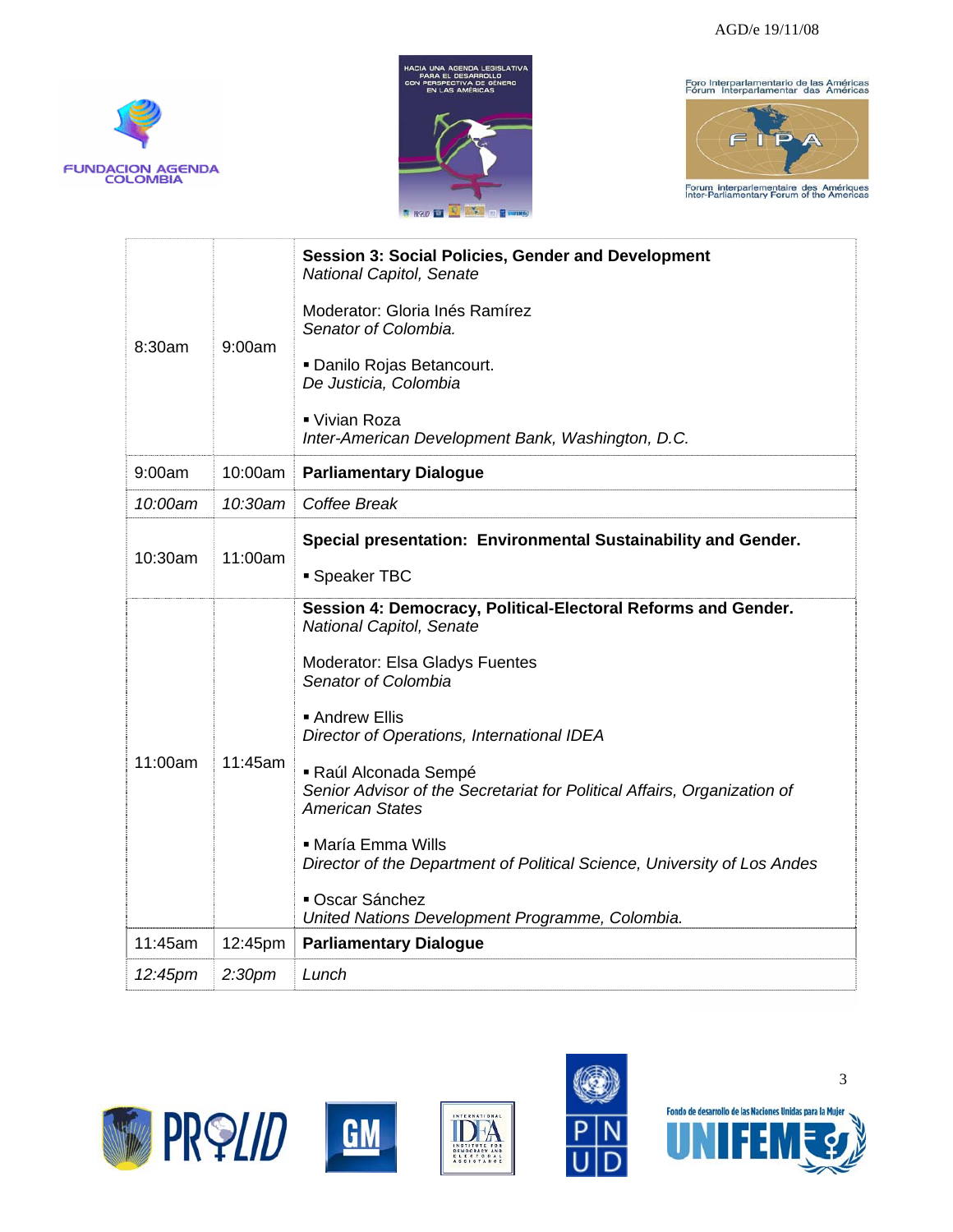



Foro Interparlamentario de las Américas<br>Fórum Interparlamentar das Américas



| 8:30am  | 9:00am             | <b>Session 3: Social Policies, Gender and Development</b><br>National Capitol, Senate<br>Moderator: Gloria Inés Ramírez<br>Senator of Colombia.<br>Danilo Rojas Betancourt.<br>De Justicia, Colombia<br>■ Vivian Roza<br>Inter-American Development Bank, Washington, D.C.                                                                                                                                                                                                                                              |
|---------|--------------------|-------------------------------------------------------------------------------------------------------------------------------------------------------------------------------------------------------------------------------------------------------------------------------------------------------------------------------------------------------------------------------------------------------------------------------------------------------------------------------------------------------------------------|
| 9:00am  | 10:00am            | <b>Parliamentary Dialogue</b>                                                                                                                                                                                                                                                                                                                                                                                                                                                                                           |
| 10:00am | 10:30am            | Coffee Break                                                                                                                                                                                                                                                                                                                                                                                                                                                                                                            |
| 10:30am | 11:00am            | Special presentation: Environmental Sustainability and Gender.<br>• Speaker TBC                                                                                                                                                                                                                                                                                                                                                                                                                                         |
| 11:00am | 11:45am            | Session 4: Democracy, Political-Electoral Reforms and Gender.<br>National Capitol, Senate<br>Moderator: Elsa Gladys Fuentes<br>Senator of Colombia<br>■ Andrew Ellis<br>Director of Operations, International IDEA<br>Raúl Alconada Sempé<br>Senior Advisor of the Secretariat for Political Affairs, Organization of<br><b>American States</b><br>• María Emma Wills<br>Director of the Department of Political Science, University of Los Andes<br>• Oscar Sánchez<br>United Nations Development Programme, Colombia. |
| 11:45am | 12:45pm            | <b>Parliamentary Dialogue</b>                                                                                                                                                                                                                                                                                                                                                                                                                                                                                           |
| 12:45pm | 2:30 <sub>pm</sub> | Lunch                                                                                                                                                                                                                                                                                                                                                                                                                                                                                                                   |